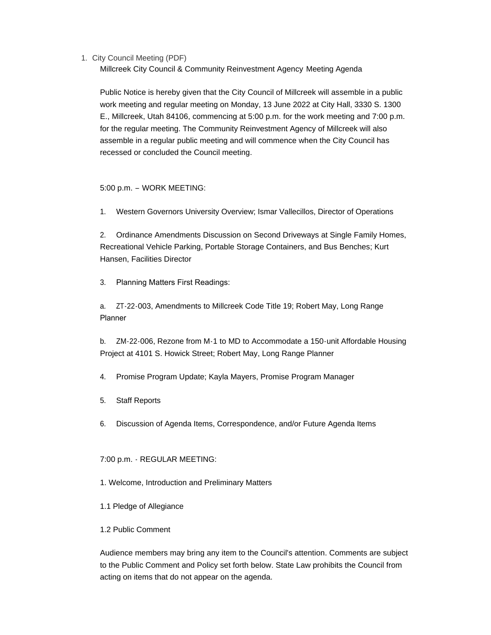1. City Council Meeting (PDF)

Millcreek City Council & Community Reinvestment Agency Meeting Agenda

Public Notice is hereby given that the City Council of Millcreek will assemble in a public work meeting and regular meeting on Monday, 13 June 2022 at City Hall, 3330 S. 1300 E., Millcreek, Utah 84106, commencing at 5:00 p.m. for the work meeting and 7:00 p.m. for the regular meeting. The Community Reinvestment Agency of Millcreek will also assemble in a regular public meeting and will commence when the City Council has recessed or concluded the Council meeting.

## 5:00 p.m. – WORK MEETING:

1. Western Governors University Overview; Ismar Vallecillos, Director of Operations

2. Ordinance Amendments Discussion on Second Driveways at Single Family Homes, Recreational Vehicle Parking, Portable Storage Containers, and Bus Benches; Kurt Hansen, Facilities Director

3. Planning Matters First Readings:

a. ZT-22-003, Amendments to Millcreek Code Title 19; Robert May, Long Range Planner

b. ZM-22-006, Rezone from M-1 to MD to Accommodate a 150-unit Affordable Housing Project at 4101 S. Howick Street; Robert May, Long Range Planner

4. Promise Program Update; Kayla Mayers, Promise Program Manager

- 5. Staff Reports
- 6. Discussion of Agenda Items, Correspondence, and/or Future Agenda Items

# 7:00 p.m. - REGULAR MEETING:

- 1. Welcome, Introduction and Preliminary Matters
- 1.1 Pledge of Allegiance
- 1.2 Public Comment

Audience members may bring any item to the Council's attention. Comments are subject to the Public Comment and Policy set forth below. State Law prohibits the Council from acting on items that do not appear on the agenda.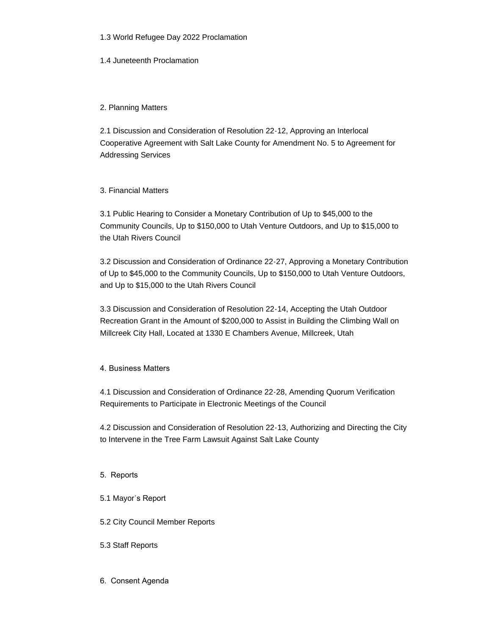## 1.3 World Refugee Day 2022 Proclamation

1.4 Juneteenth Proclamation

## 2. Planning Matters

2.1 Discussion and Consideration of Resolution 22-12, Approving an Interlocal Cooperative Agreement with Salt Lake County for Amendment No. 5 to Agreement for Addressing Services

## 3. Financial Matters

3.1 Public Hearing to Consider a Monetary Contribution of Up to \$45,000 to the Community Councils, Up to \$150,000 to Utah Venture Outdoors, and Up to \$15,000 to the Utah Rivers Council

3.2 Discussion and Consideration of Ordinance 22-27, Approving a Monetary Contribution of Up to \$45,000 to the Community Councils, Up to \$150,000 to Utah Venture Outdoors, and Up to \$15,000 to the Utah Rivers Council

3.3 Discussion and Consideration of Resolution 22-14, Accepting the Utah Outdoor Recreation Grant in the Amount of \$200,000 to Assist in Building the Climbing Wall on Millcreek City Hall, Located at 1330 E Chambers Avenue, Millcreek, Utah

# 4. Business Matters

4.1 Discussion and Consideration of Ordinance 22-28, Amending Quorum Verification Requirements to Participate in Electronic Meetings of the Council

4.2 Discussion and Consideration of Resolution 22-13, Authorizing and Directing the City to Intervene in the Tree Farm Lawsuit Against Salt Lake County

### 5. Reports

# 5.1 Mayor's Report

# 5.2 City Council Member Reports

### 5.3 Staff Reports

6. Consent Agenda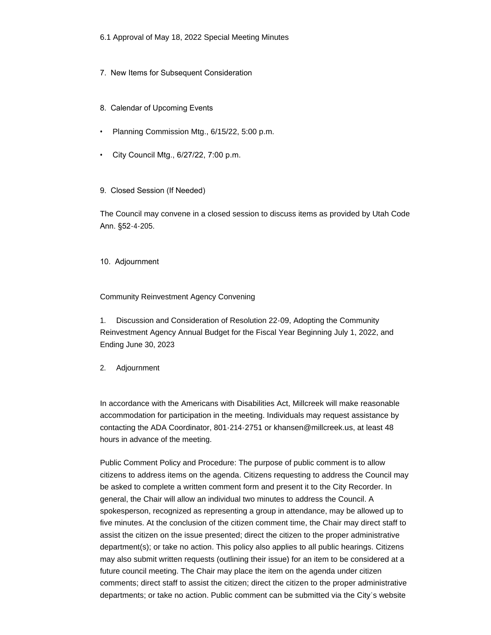6.1 Approval of May 18, 2022 Special Meeting Minutes

- 7. New Items for Subsequent Consideration
- 8. Calendar of Upcoming Events
- Planning Commission Mtg., 6/15/22, 5:00 p.m.
- City Council Mtg., 6/27/22, 7:00 p.m.
- 9. Closed Session (If Needed)

The Council may convene in a closed session to discuss items as provided by Utah Code Ann. §52-4-205.

10. Adjournment

#### Community Reinvestment Agency Convening

1. Discussion and Consideration of Resolution 22-09, Adopting the Community Reinvestment Agency Annual Budget for the Fiscal Year Beginning July 1, 2022, and Ending June 30, 2023

2. Adjournment

In accordance with the Americans with Disabilities Act, Millcreek will make reasonable accommodation for participation in the meeting. Individuals may request assistance by contacting the ADA Coordinator, 801-214-2751 or khansen@millcreek.us, at least 48 hours in advance of the meeting.

Public Comment Policy and Procedure: The purpose of public comment is to allow citizens to address items on the agenda. Citizens requesting to address the Council may be asked to complete a written comment form and present it to the City Recorder. In general, the Chair will allow an individual two minutes to address the Council. A spokesperson, recognized as representing a group in attendance, may be allowed up to five minutes. At the conclusion of the citizen comment time, the Chair may direct staff to assist the citizen on the issue presented; direct the citizen to the proper administrative department(s); or take no action. This policy also applies to all public hearings. Citizens may also submit written requests (outlining their issue) for an item to be considered at a future council meeting. The Chair may place the item on the agenda under citizen comments; direct staff to assist the citizen; direct the citizen to the proper administrative departments; or take no action. Public comment can be submitted via the City's website